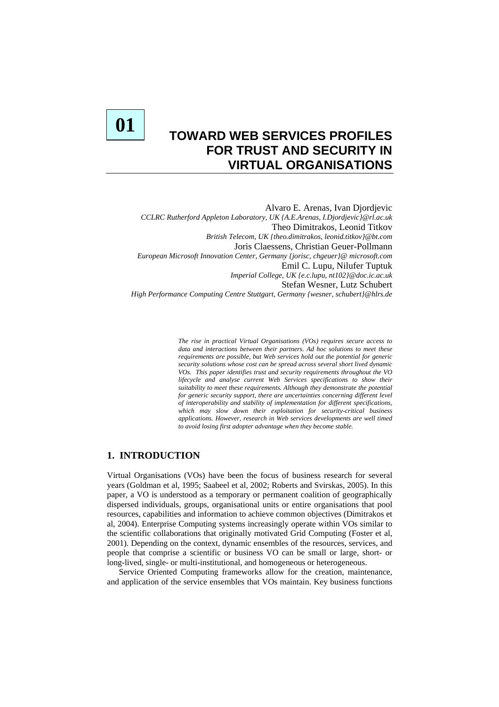

# **TOWARD WEB SERVICES PROFILES FOR TRUST AND SECURITY IN VIRTUAL ORGANISATIONS**

Alvaro E. Arenas, Ivan Djordjevic *CCLRC Rutherford Appleton Laboratory, UK {A.E.Arenas, I.Djordjevic}@rl.ac.uk*  Theo Dimitrakos, Leonid Titkov *British Telecom, UK {theo.dimitrakos, leonid.titkov}@bt.com*  Joris Claessens, Christian Geuer-Pollmann *European Microsoft Innovation Center, Germany {jorisc, chgeuer}@ microsoft.com* Emil C. Lupu, Nilufer Tuptuk *Imperial College, UK {e.c.lupu, nt102}@doc.ic.ac.uk*  Stefan Wesner, Lutz Schubert *High Performance Computing Centre Stuttgart, Germany {wesner, schubert}@hlrs.de* 

> *The rise in practical Virtual Organisations (VOs) requires secure access to data and interactions between their partners. Ad hoc solutions to meet these requirements are possible, but Web services hold out the potential for generic security solutions whose cost can be spread across several short lived dynamic VOs. This paper identifies trust and security requirements throughout the VO lifecycle and analyse current Web Services specifications to show their suitability to meet these requirements. Although they demonstrate the potential for generic security support, there are uncertainties concerning different level of interoperability and stability of implementation for different specifications, which may slow down their exploitation for security-critical business applications. However, research in Web services developments are well timed to avoid losing first adopter advantage when they become stable.*

# **1. INTRODUCTION**

Virtual Organisations (VOs) have been the focus of business research for several years (Goldman et al, 1995; Saabeel et al, 2002; Roberts and Svirskas, 2005). In this paper, a VO is understood as a temporary or permanent coalition of geographically dispersed individuals, groups, organisational units or entire organisations that pool resources, capabilities and information to achieve common objectives (Dimitrakos et al, 2004). Enterprise Computing systems increasingly operate within VOs similar to the scientific collaborations that originally motivated Grid Computing (Foster et al, 2001). Depending on the context, dynamic ensembles of the resources, services, and people that comprise a scientific or business VO can be small or large, short- or long-lived, single- or multi-institutional, and homogeneous or heterogeneous.

Service Oriented Computing frameworks allow for the creation, maintenance, and application of the service ensembles that VOs maintain. Key business functions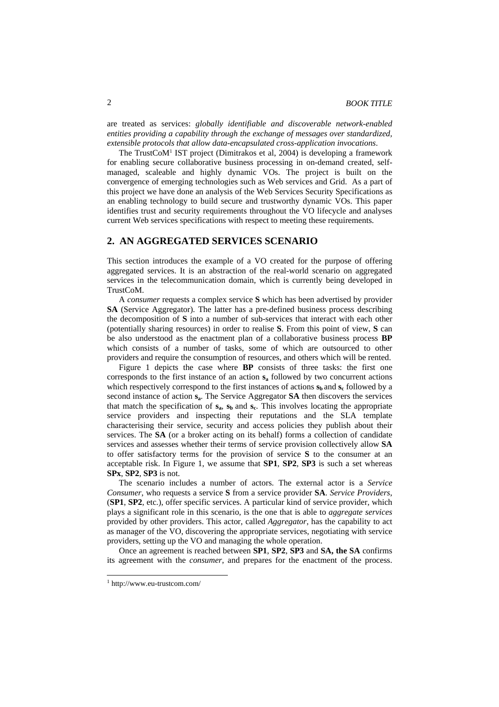are treated as services: *globally identifiable and discoverable network-enabled entities providing a capability through the exchange of messages over standardized, extensible protocols that allow data-encapsulated cross-application invocations*.

The TrustCoM<sup>1</sup> IST project (Dimitrakos et al, 2004) is developing a framework for enabling secure collaborative business processing in on-demand created, selfmanaged, scaleable and highly dynamic VOs. The project is built on the convergence of emerging technologies such as Web services and Grid. As a part of this project we have done an analysis of the Web Services Security Specifications as an enabling technology to build secure and trustworthy dynamic VOs. This paper identifies trust and security requirements throughout the VO lifecycle and analyses current Web services specifications with respect to meeting these requirements.

## **2. AN AGGREGATED SERVICES SCENARIO**

This section introduces the example of a VO created for the purpose of offering aggregated services. It is an abstraction of the real-world scenario on aggregated services in the telecommunication domain, which is currently being developed in TrustCoM.

A *consumer* requests a complex service **S** which has been advertised by provider **SA** (Service Aggregator). The latter has a pre-defined business process describing the decomposition of **S** into a number of sub-services that interact with each other (potentially sharing resources) in order to realise **S**. From this point of view, **S** can be also understood as the enactment plan of a collaborative business process **BP** which consists of a number of tasks, some of which are outsourced to other providers and require the consumption of resources, and others which will be rented.

Figure 1 depicts the case where **BP** consists of three tasks: the first one corresponds to the first instance of an action **sa** followed by two concurrent actions which respectively correspond to the first instances of actions  $s_b$  and  $s_c$  followed by a second instance of action **sa**. The Service Aggregator **SA** then discovers the services that match the specification of  $s_a$ ,  $s_b$  and  $s_c$ . This involves locating the appropriate service providers and inspecting their reputations and the SLA template characterising their service, security and access policies they publish about their services. The **SA** (or a broker acting on its behalf) forms a collection of candidate services and assesses whether their terms of service provision collectively allow **SA** to offer satisfactory terms for the provision of service **S** to the consumer at an acceptable risk. In Figure 1, we assume that **SP1**, **SP2**, **SP3** is such a set whereas **SPx**, **SP2**, **SP3** is not.

The scenario includes a number of actors. The external actor is a *Service Consumer*, who requests a service **S** from a service provider **SA**. *Service Providers*, (**SP1**, **SP2**, etc.), offer specific services. A particular kind of service provider, which plays a significant role in this scenario, is the one that is able to *aggregate services* provided by other providers. This actor, called *Aggregator*, has the capability to act as manager of the VO, discovering the appropriate services, negotiating with service providers, setting up the VO and managing the whole operation.

Once an agreement is reached between **SP1**, **SP2**, **SP3** and **SA, the SA** confirms its agreement with the *consumer*, and prepares for the enactment of the process.

l

<sup>1</sup> http://www.eu-trustcom.com/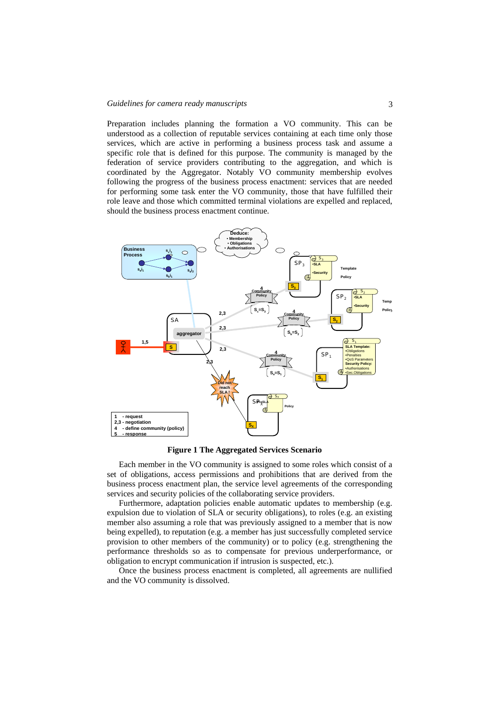#### *Guidelines for camera ready manuscripts* 3

Preparation includes planning the formation a VO community. This can be understood as a collection of reputable services containing at each time only those services, which are active in performing a business process task and assume a specific role that is defined for this purpose. The community is managed by the federation of service providers contributing to the aggregation, and which is coordinated by the Aggregator. Notably VO community membership evolves following the progress of the business process enactment: services that are needed for performing some task enter the VO community, those that have fulfilled their role leave and those which committed terminal violations are expelled and replaced, should the business process enactment continue.



**Figure 1 The Aggregated Services Scenario** 

Each member in the VO community is assigned to some roles which consist of a set of obligations, access permissions and prohibitions that are derived from the business process enactment plan, the service level agreements of the corresponding services and security policies of the collaborating service providers.

Furthermore, adaptation policies enable automatic updates to membership (e.g. expulsion due to violation of SLA or security obligations), to roles (e.g. an existing member also assuming a role that was previously assigned to a member that is now being expelled), to reputation (e.g. a member has just successfully completed service provision to other members of the community) or to policy (e.g. strengthening the performance thresholds so as to compensate for previous underperformance, or obligation to encrypt communication if intrusion is suspected, etc.).

Once the business process enactment is completed, all agreements are nullified and the VO community is dissolved.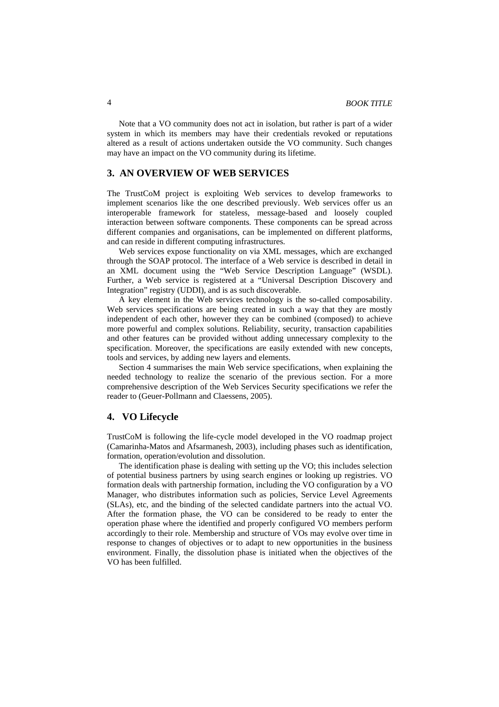Note that a VO community does not act in isolation, but rather is part of a wider system in which its members may have their credentials revoked or reputations altered as a result of actions undertaken outside the VO community. Such changes may have an impact on the VO community during its lifetime.

# **3. AN OVERVIEW OF WEB SERVICES**

The TrustCoM project is exploiting Web services to develop frameworks to implement scenarios like the one described previously. Web services offer us an interoperable framework for stateless, message-based and loosely coupled interaction between software components. These components can be spread across different companies and organisations, can be implemented on different platforms, and can reside in different computing infrastructures.

Web services expose functionality on via XML messages, which are exchanged through the SOAP protocol. The interface of a Web service is described in detail in an XML document using the "Web Service Description Language" (WSDL). Further, a Web service is registered at a "Universal Description Discovery and Integration" registry (UDDI), and is as such discoverable.

A key element in the Web services technology is the so-called composability. Web services specifications are being created in such a way that they are mostly independent of each other, however they can be combined (composed) to achieve more powerful and complex solutions. Reliability, security, transaction capabilities and other features can be provided without adding unnecessary complexity to the specification. Moreover, the specifications are easily extended with new concepts, tools and services, by adding new layers and elements.

Section 4 summarises the main Web service specifications, when explaining the needed technology to realize the scenario of the previous section. For a more comprehensive description of the Web Services Security specifications we refer the reader to (Geuer-Pollmann and Claessens, 2005).

#### **4. VO Lifecycle**

TrustCoM is following the life-cycle model developed in the VO roadmap project (Camarinha-Matos and Afsarmanesh, 2003), including phases such as identification, formation, operation/evolution and dissolution.

The identification phase is dealing with setting up the VO; this includes selection of potential business partners by using search engines or looking up registries. VO formation deals with partnership formation, including the VO configuration by a VO Manager, who distributes information such as policies, Service Level Agreements (SLAs), etc, and the binding of the selected candidate partners into the actual VO. After the formation phase, the VO can be considered to be ready to enter the operation phase where the identified and properly configured VO members perform accordingly to their role. Membership and structure of VOs may evolve over time in response to changes of objectives or to adapt to new opportunities in the business environment. Finally, the dissolution phase is initiated when the objectives of the VO has been fulfilled.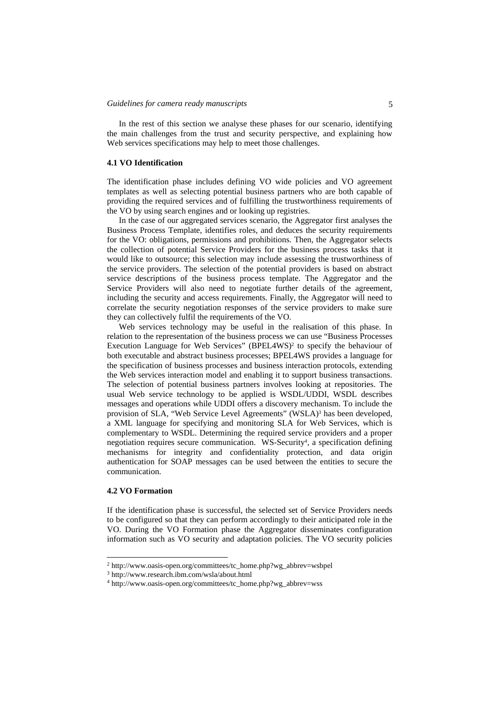In the rest of this section we analyse these phases for our scenario, identifying the main challenges from the trust and security perspective, and explaining how Web services specifications may help to meet those challenges.

## **4.1 VO Identification**

The identification phase includes defining VO wide policies and VO agreement templates as well as selecting potential business partners who are both capable of providing the required services and of fulfilling the trustworthiness requirements of the VO by using search engines and or looking up registries.

In the case of our aggregated services scenario, the Aggregator first analyses the Business Process Template, identifies roles, and deduces the security requirements for the VO: obligations, permissions and prohibitions. Then, the Aggregator selects the collection of potential Service Providers for the business process tasks that it would like to outsource; this selection may include assessing the trustworthiness of the service providers. The selection of the potential providers is based on abstract service descriptions of the business process template. The Aggregator and the Service Providers will also need to negotiate further details of the agreement, including the security and access requirements. Finally, the Aggregator will need to correlate the security negotiation responses of the service providers to make sure they can collectively fulfil the requirements of the VO.

Web services technology may be useful in the realisation of this phase. In relation to the representation of the business process we can use "Business Processes Execution Language for Web Services" (BPEL4WS)<sup>2</sup> to specify the behaviour of both executable and abstract business processes; BPEL4WS provides a language for the specification of business processes and business interaction protocols, extending the Web services interaction model and enabling it to support business transactions. The selection of potential business partners involves looking at repositories. The usual Web service technology to be applied is WSDL/UDDI, WSDL describes messages and operations while UDDI offers a discovery mechanism. To include the provision of SLA, "Web Service Level Agreements" (WSLA)3 has been developed, a XML language for specifying and monitoring SLA for Web Services, which is complementary to WSDL. Determining the required service providers and a proper negotiation requires secure communication. WS-Security4, a specification defining mechanisms for integrity and confidentiality protection, and data origin authentication for SOAP messages can be used between the entities to secure the communication.

## **4.2 VO Formation**

l

If the identification phase is successful, the selected set of Service Providers needs to be configured so that they can perform accordingly to their anticipated role in the VO. During the VO Formation phase the Aggregator disseminates configuration information such as VO security and adaptation policies. The VO security policies

 $^2$ http://www.oasis-open.org/committees/tc\_home.php?wg\_abbrev=wsbpel $^3$ http://www.research.ibm.com/wsla/about.html  $^4$  http://www.oasis-open.org/committees/tc\_home.php?wg\_abbrev=wss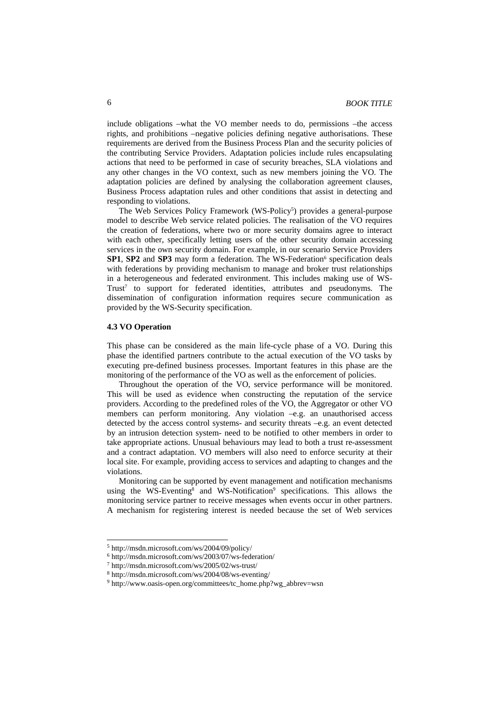include obligations –what the VO member needs to do, permissions –the access rights, and prohibitions –negative policies defining negative authorisations. These requirements are derived from the Business Process Plan and the security policies of the contributing Service Providers. Adaptation policies include rules encapsulating actions that need to be performed in case of security breaches, SLA violations and any other changes in the VO context, such as new members joining the VO. The adaptation policies are defined by analysing the collaboration agreement clauses, Business Process adaptation rules and other conditions that assist in detecting and responding to violations.

The Web Services Policy Framework (WS-Policy<sup>5</sup>) provides a general-purpose model to describe Web service related policies. The realisation of the VO requires the creation of federations, where two or more security domains agree to interact with each other, specifically letting users of the other security domain accessing services in the own security domain. For example, in our scenario Service Providers **SP1, SP2** and SP3 may form a federation. The WS-Federation<sup>6</sup> specification deals with federations by providing mechanism to manage and broker trust relationships in a heterogeneous and federated environment. This includes making use of WS-Trust<sup>7</sup> to support for federated identities, attributes and pseudonyms. The dissemination of configuration information requires secure communication as provided by the WS-Security specification.

#### **4.3 VO Operation**

This phase can be considered as the main life-cycle phase of a VO. During this phase the identified partners contribute to the actual execution of the VO tasks by executing pre-defined business processes. Important features in this phase are the monitoring of the performance of the VO as well as the enforcement of policies.

Throughout the operation of the VO, service performance will be monitored. This will be used as evidence when constructing the reputation of the service providers. According to the predefined roles of the VO, the Aggregator or other VO members can perform monitoring. Any violation –e.g. an unauthorised access detected by the access control systems- and security threats –e.g. an event detected by an intrusion detection system- need to be notified to other members in order to take appropriate actions. Unusual behaviours may lead to both a trust re-assessment and a contract adaptation. VO members will also need to enforce security at their local site. For example, providing access to services and adapting to changes and the violations.

Monitoring can be supported by event management and notification mechanisms using the WS-Eventing<sup>8</sup> and WS-Notification<sup>9</sup> specifications. This allows the monitoring service partner to receive messages when events occur in other partners. A mechanism for registering interest is needed because the set of Web services

l

 $^5$ http://msdn.microsoft.com/ws/2004/09/policy/<br>  $^6$ http://msdn.microsoft.com/ws/2003/07/ws-federation/<br>  $^7$  http://msdn.microsoft.com/ws/2005/02/ws-trust/<br>  $^8$  http://msdn.microsoft.com/ws/2004/08/ws-eventing/<br>  $^8$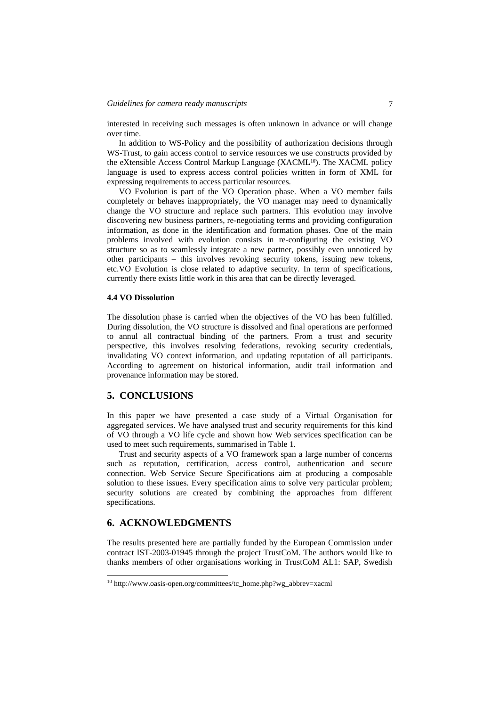#### *Guidelines for camera ready manuscripts* 7

interested in receiving such messages is often unknown in advance or will change over time.

In addition to WS-Policy and the possibility of authorization decisions through WS-Trust, to gain access control to service resources we use constructs provided by the eXtensible Access Control Markup Language (XACML<sup>10</sup>). The XACML policy language is used to express access control policies written in form of XML for expressing requirements to access particular resources.

VO Evolution is part of the VO Operation phase. When a VO member fails completely or behaves inappropriately, the VO manager may need to dynamically change the VO structure and replace such partners. This evolution may involve discovering new business partners, re-negotiating terms and providing configuration information, as done in the identification and formation phases. One of the main problems involved with evolution consists in re-configuring the existing VO structure so as to seamlessly integrate a new partner, possibly even unnoticed by other participants – this involves revoking security tokens, issuing new tokens, etc.VO Evolution is close related to adaptive security. In term of specifications, currently there exists little work in this area that can be directly leveraged.

### **4.4 VO Dissolution**

The dissolution phase is carried when the objectives of the VO has been fulfilled. During dissolution, the VO structure is dissolved and final operations are performed to annul all contractual binding of the partners. From a trust and security perspective, this involves resolving federations, revoking security credentials, invalidating VO context information, and updating reputation of all participants. According to agreement on historical information, audit trail information and provenance information may be stored.

## **5. CONCLUSIONS**

In this paper we have presented a case study of a Virtual Organisation for aggregated services. We have analysed trust and security requirements for this kind of VO through a VO life cycle and shown how Web services specification can be used to meet such requirements, summarised in Table 1.

Trust and security aspects of a VO framework span a large number of concerns such as reputation, certification, access control, authentication and secure connection. Web Service Secure Specifications aim at producing a composable solution to these issues. Every specification aims to solve very particular problem; security solutions are created by combining the approaches from different specifications.

# **6. ACKNOWLEDGMENTS**

l

The results presented here are partially funded by the European Commission under contract IST-2003-01945 through the project TrustCoM. The authors would like to thanks members of other organisations working in TrustCoM AL1: SAP, Swedish

<sup>10</sup> http://www.oasis-open.org/committees/tc\_home.php?wg\_abbrev=xacml